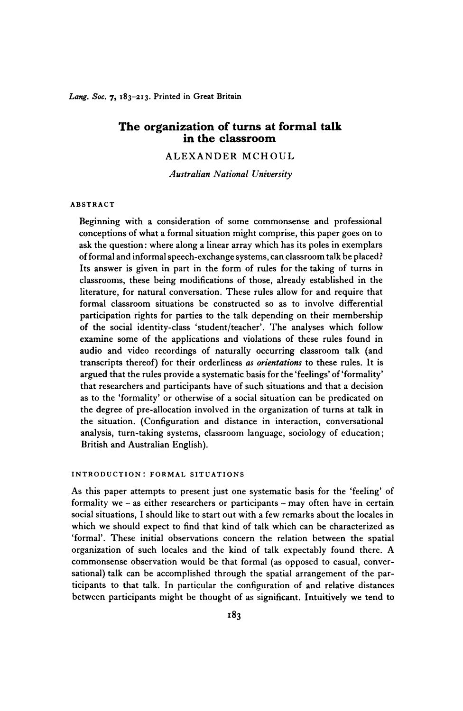**Lang. Soc. 7, 183-213. Printed in Great Britain** 

## **The organization of turns at formal talk in the classroom**

## **ALEXANDER MCHOUL**

**Australian National University** 

## **ABSTRACT**

**Beginning with a consideration of some commonsense and professional conceptions of what a formal situation might comprise, this paper goes on to ask the question: where along a linear array which has its poles in exemplars of formal and informal speech-exchange systems, can classroom talk be placed? Its answer is given in part in the form of rules for the taking of turns in classrooms, these being modifications of those, already established in the literature, for natural conversation. These rules allow for and require that formal classroom situations be constructed so as to involve differential participation rights for parties to the talk depending on their membership of the social identity-class 'student/teacher'. The analyses which follow examine some of the applications and violations of these rules found in audio and video recordings of naturally occurring classroom talk (and transcripts thereof) for their orderliness as orientations to these rules. It is argued that the rules provide a systematic basis for the 'feelings' of 'formality' that researchers and participants have of such situations and that a decision as to the 'formality' or otherwise of a social situation can be predicated on the degree of pre-allocation involved in the organization of turns at talk in the situation. (Configuration and distance in interaction, conversational analysis, turn-taking systems, classroom language, sociology of education; British and Australian English).** 

## **INTRODUCTION: FORMAL SITUATIONS**

**As this paper attempts to present just one systematic basis for the 'feeling' of formality we - as either researchers or participants - may often have in certain social situations, I should like to start out with a few remarks about the locales in which we should expect to find that kind of talk which can be characterized as 'formal'. These initial observations concern the relation between the spatial organization of such locales and the kind of talk expectably found there. A commonsense observation would be that formal (as opposed to casual, conversational) talk can be accomplished through the spatial arrangement of the participants to that talk. In particular the configuration of and relative distances between participants might be thought of as significant. Intuitively we tend to**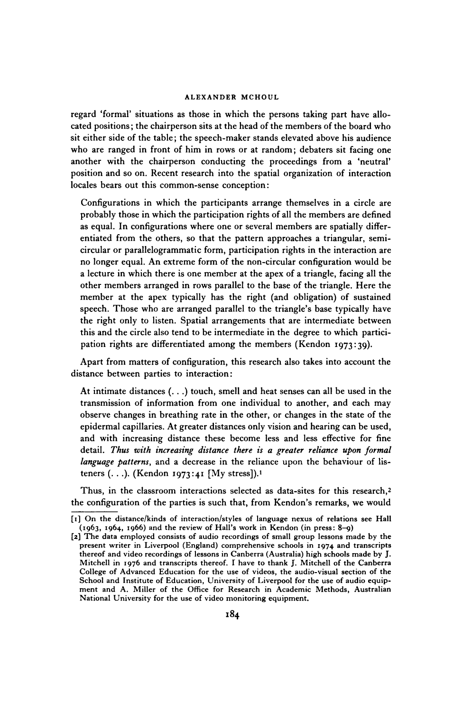**regard 'formal' situations as those in which the persons taking part have allocated positions; the chairperson sits at the head of the members of the board who sit either side of the table; the speech-maker stands elevated above his audience who are ranged in front of him in rows or at random; debaters sit facing one another with the chairperson conducting the proceedings from a 'neutral' position and so on. Recent research into the spatial organization of interaction locales bears out this common-sense conception:** 

**Configurations in which the participants arrange themselves in a circle are probably those in which the participation rights of all the members are defined as equal. In configurations where one or several members are spatially differentiated from the others, so that the pattern approaches a triangular, semicircular or parallelogrammatic form, participation rights in the interaction are no longer equal. An extreme form of the non-circular configuration would be a lecture in which there is one member at the apex of a triangle, facing all the other members arranged in rows parallel to the base of the triangle. Here the member at the apex typically has the right (and obligation) of sustained speech. Those who are arranged parallel to the triangle's base typically have the right only to listen. Spatial arrangements that are intermediate between this and the circle also tend to be intermediate in the degree to which participation rights are differentiated among the members (Kendon 1973:39).** 

**Apart from matters of configuration, this research also takes into account the distance between parties to interaction:** 

**At intimate distances (... .) touch, smell and heat senses can all be used in the transmission of information from one individual to another, and each may observe changes in breathing rate in the other, or changes in the state of the epidermal capillaries. At greater distances only vision and hearing can be used, and with increasing distance these become less and less effective for fine detail. Thus with increasing distance there is a greater reliance upon formal**  language patterns, and a decrease in the reliance upon the behaviour of lis**teners (. . .). (Kendon I973:4I [My stress]).'** 

**Thus, in the classroom interactions selected as data-sites for this research,2 the configuration of the parties is such that, from Kendon's remarks, we would** 

**<sup>[</sup>i] On the distance/kinds of interaction/styles of language nexus of relations see Hall (I963, I964, I966) and the review of Hall's work in Kendon (in press: 8-9)** 

**<sup>[2]</sup> The data employed consists of audio recordings of small group lessons made by the present writer in Liverpool (England) comprehensive schools in 1974 and transcripts thereof and video recordings of lessons in Canberra (Australia) high schools made by J. Mitchell in 1976 and transcripts thereof. f have to thank J. Mitchell of the Canberra College of Advanced Education for the use of videos, the audio-visual section of the School and Institute of Education, University of Liverpool for the use of audio equipment and A. Miller of the Office for Research in Academic Methods, Australian National University for the use of video monitoring equipment.**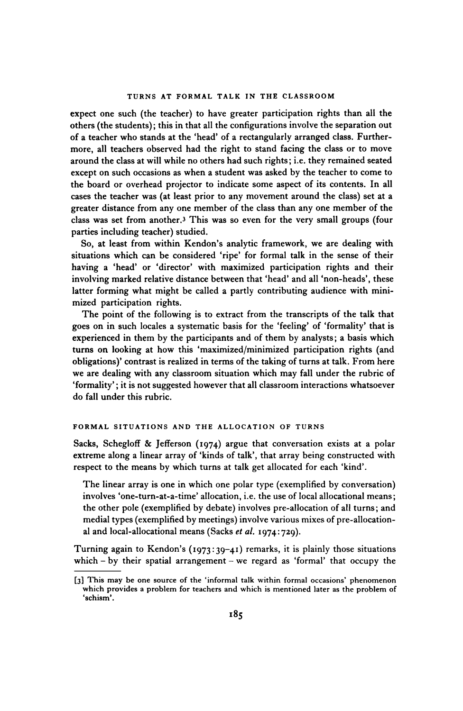**expect one such (the teacher) to have greater participation rights than all the others (the students); this in that all the configurations involve the separation out of a teacher who stands at the 'head' of a rectangularly arranged class. Furthermore, all teachers observed had the right to stand facing the class or to move around the class at will while no others had such rights; i.e. they remained seated except on such occasions as when a student was asked by the teacher to come to the board or overhead projector to indicate some aspect of its contents. In all cases the teacher was (at least prior to any movement around the class) set at a greater distance from any one member of the class than any one member of the class was set from another.3 This was so even for the very small groups (four parties including teacher) studied.** 

**So, at least from within Kendon's analytic framework, we are dealing with situations which can be considered 'ripe' for formal talk in the sense of their having a 'head' or 'director' with maximized participation rights and their involving marked relative distance between that 'head' and all 'non-heads', these latter forming what might be called a partly contributing audience with minimized participation rights.** 

**The point of the following is to extract from the transcripts of the talk that goes on in such locales a systematic basis for the 'feeling' of 'formality' that is experienced in them by the participants and of them by analysts; a basis which turns on looking at how this 'maximized/minimized participation rights (and obligations)' contrast is realized in terms of the taking of turns at talk. From here we are dealing with any classroom situation which may fall under the rubric of 'formality'; it is not suggested however that all classroom interactions whatsoever do fall under this rubric.** 

## **FORMAL SITUATIONS AND THE ALLOCATION OF TURNS**

**Sacks, Schegloff & Jefferson (1974) argue that conversation exists at a polar extreme along a linear array of 'kinds of talk', that array being constructed with respect to the means by which turns at talk get allocated for each 'kind'.** 

**The linear array is one in which one polar type (exemplified by conversation) involves 'one-turn-at-a-time' allocation, i.e. the use of local allocational means; the other pole (exemplified by debate) involves pre-allocation of all turns; and medial types (exemplified by meetings) involve various mixes of pre-allocational and local-allocational means (Sacks et al. I974:729).** 

**Turning again to Kendon's (1973:39-41) remarks, it is plainly those situations**  which - by their spatial arrangement - we regard as 'formal' that occupy the

**<sup>[3]</sup> This may be one source of the 'informal talk within formal occasions' phenomenon which provides a problem for teachers and which is mentioned later as the problem of 'schism'.**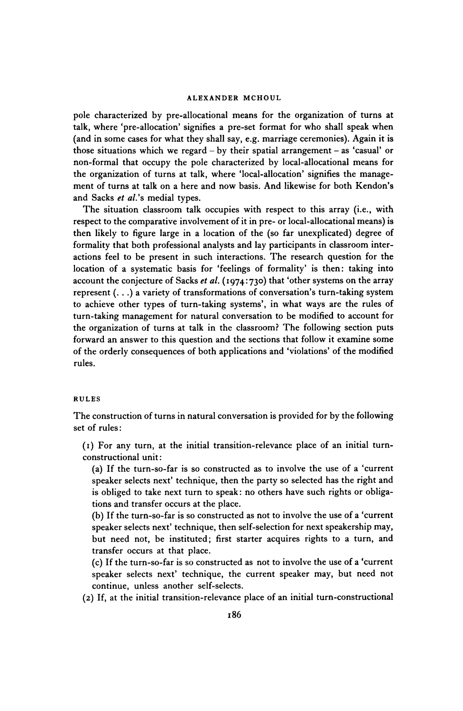**pole characterized by pre-allocational means for the organization of turns at talk, where 'pre-allocation' signifies a pre-set format for who shall speak when (and in some cases for what they shall say, e.g. marriage ceremonies). Again it is those situations which we regard - by their spatial arrangement - as 'casual' or non-formal that occupy the pole characterized by local-allocational means for the organization of turns at talk, where 'local-allocation' signifies the management of turns at talk on a here and now basis. And likewise for both Kendon's and Sacks et al.'s medial types.** 

**The situation classroom talk occupies with respect to this array (i.e., with respect to the comparative involvement of it in pre- or local-allocational means) is then likely to figure large in a location of the (so far unexplicated) degree of formality that both professional analysts and lay participants in classroom interactions feel to be present in such interactions. The research question for the location of a systematic basis for 'feelings of formality' is then: taking into account the conjecture of Sacks et al. (I974:730) that 'other systems on the array represent (. . .) a variety of transformations of conversation's turn-taking system to achieve other types of turn-taking systems', in what ways are the rules of turn-taking management for natural conversation to be modified to account for the organization of turns at talk in the classroom? The following section puts forward an answer to this question and the sections that follow it examine some of the orderly consequences of both applications and 'violations' of the modified rules.** 

## **RULES**

**The construction of turns in natural conversation is provided for by the following set of rules:** 

**(i) For any turn, at the initial transition-relevance place of an initial turnconstructional unit:** 

**(a) If the turn-so-far is so constructed as to involve the use of a 'current speaker selects next' technique, then the party so selected has the right and is obliged to take next turn to speak: no others have such rights or obligations and transfer occurs at the place.** 

**(b) If the turn-so-far is so constructed as not to involve the use of a 'current speaker selects next' technique, then self-selection for next speakership may, but need not, be instituted; first starter acquires rights to a turn, and transfer occurs at that place.** 

**(c) If the turn-so-far is so constructed as not to involve the use of a 'current speaker selects next' technique, the current speaker may, but need not continue, unless another self-selects.** 

**(2) If, at the initial transition-relevance place of an initial turn-constructional**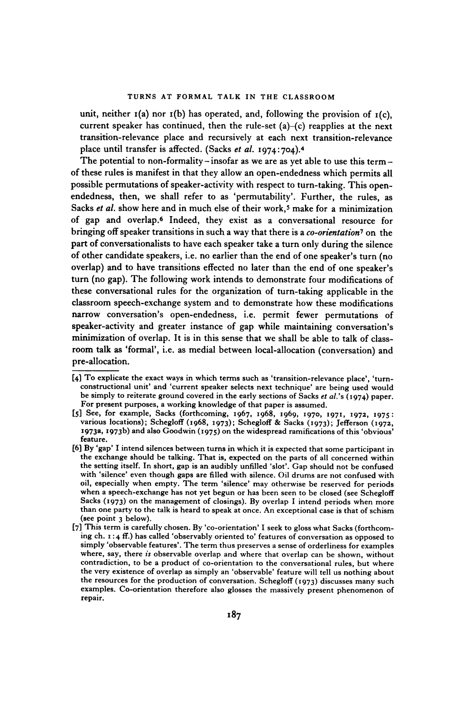unit, neither  $I(a)$  nor  $I(b)$  has operated, and, following the provision of  $I(c)$ , **current speaker has continued, then the rule-set (a)-(c) reapplies at the next transition-relevance place and recursively at each next transition-relevance place until transfer is affected. (Sacks et al. 1974:704).4** 

**The potential to non-formality- insofar as we are as yet able to use this term of these rules is manifest in that they allow an open-endedness which permits all possible permutations of speaker-activity with respect to turn-taking. This openendedness, then, we shall refer to as 'permutability'. Further, the rules, as Sacks et al. show here and in much else of their work,5 make for a minimization of gap and overlap.6 Indeed, they exist as a conversational resource for bringing off speaker transitions in such a way that there is a co-orientation7 on the part of conversationalists to have each speaker take a turn only during the silence of other candidate speakers, i.e. no earlier than the end of one speaker's turn (no overlap) and to have transitions effected no later than the end of one speaker's turn (no gap). The following work intends to demonstrate four modifications of these conversational rules for the organization of turn-taking applicable in the classroom speech-exchange system and to demonstrate how these modifications narrow conversation's open-endedness, i.e. permit fewer permutations of speaker-activity and greater instance of gap while maintaining conversation's minimization of overlap. It is in this sense that we shall be able to talk of classroom talk as 'formal', i.e. as medial between local-allocation (conversation) and pre-allocation.** 

**<sup>[4]</sup> To explicate the exact ways in which terms such as 'transition-relevance place', 'turnconstructional unit' and 'current speaker selects next technique' are being used would be simply to reiterate ground covered in the early sections of Sacks et al.'s (1974) paper. For present purposes, a working knowledge of that paper is assumed.** 

**<sup>[</sup>s] See, for example, Sacks (forthcoming, I967, 1968, I969, 1970, 1971, 1972, 1975: various locations); Schegloff (I968, 1973); Schegloff & Sacks (I973); Jefferson (I972, 1973a, 1973b) and also Goodwin (I975) on the widespread ramifications of this 'obvious' feature.** 

**<sup>[6]</sup> By 'gap' I intend silences between turns in which it is expected that some participant in the exchange should be talking. That is, expected on the parts of all concerned within the setting itself. In short, gap is an audibly unfilled 'slot'. Gap should not be confused with 'silence' even though gaps are filled with silence. Oil drums are not confused with oil, especially when empty. The term 'silence' may otherwise be reserved for periods when a speech-exchange has not yet begun or has been seen to be closed (see Schegloff Sacks (1973) on the management of closings). By overlap I intend periods when more than one party to the talk is heard to speak at once. An exceptional case is that of schism (see point 3 below).** 

**<sup>[7]</sup> This term is carefully chosen. By 'co-orientation' I seek to gloss what Sacks (forthcoming ch. I :4 ff.) has called 'observably oriented to' features of conversation as opposed to simply 'observable features'. The term thus preserves a sense of orderliness for examples where, say, there is observable overlap and where that overlap can be shown, without contradiction, to be a product of co-orientation to the conversational rules, but where the very existence of overlap as simply an 'observable' feature will tell us nothing about the resources for the production of conversation. Schegloff (1973) discusses many such examples. Co-orientation therefore also glosses the massively present phenomenon of repair.**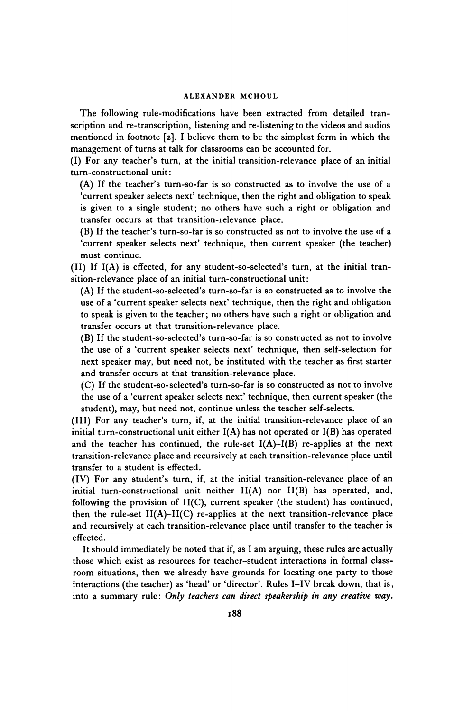**The following rule-modifications have been extracted from detailed transcription and re-transcription, listening and re-listening to the videos and audios mentioned in footnote [2]. I believe them to be the simplest form in which the management of turns at talk for classrooms can be accounted for.** 

**(I) For any teacher's turn, at the initial transition-relevance place of an initial turn-constructional unit:** 

**(A) If the teacher's turn-so-far is so constructed as to involve the use of a 'current speaker selects next' technique, then the right and obligation to speak is given to a single student; no others have such a right or obligation and transfer occurs at that transition-relevance place.** 

**(B) If the teacher's turn-so-far is so constructed as not to involve the use of a 'current speaker selects next' technique, then current speaker (the teacher) must continue.** 

**(II) If I(A) is effected, for any student-so-selected's turn, at the initial transition-relevance place of an initial turn-constructional unit:** 

**(A) If the student-so-selected's turn-so-far is so constructed as to involve the use of a 'current speaker selects next' technique, then the right and obligation to speak is given to the teacher; no others have such a right or obligation and transfer occurs at that transition-relevance place.** 

**(B) If the student-so-selected's turn-so-far is so constructed as not to involve the use of a 'current speaker selects next' technique, then self-selection for next speaker may, but need not, be instituted with the teacher as first starter and transfer occurs at that transition-relevance place.** 

**(C) If the student-so-selected's turn-so-far is so constructed as not to involve the use of a 'current speaker selects next' technique, then current speaker (the student), may, but need not, continue unless the teacher self-selects.** 

**(III) For any teacher's turn, if, at the initial transition-relevance place of an initial turn-constructional unit either I(A) has not operated or 1(B) has operated and the teacher has continued, the rule-set I(A)-I(B) re-applies at the next transition-relevance place and recursively at each transition-relevance place until transfer to a student is effected.** 

**(IV) For any student's turn, if, at the initial transition-relevance place of an initial turn-constructional unit neither II(A) nor II(B) has operated, and, following the provision of II(C), current speaker (the student) has continued, then the rule-set II(A)-II(C) re-applies at the next transition-relevance place and recursively at each transition-relevance place until transfer to the teacher is effected.** 

**It should immediately be noted that if, as I am arguing, these rules are actually those which exist as resources for teacher-student interactions in formal classroom situations, then we already have grounds for locating one party to those interactions (the teacher) as 'head' or 'director'. Rules I-IV break down, that is, into a summary rule: Only teachers can direct speakership in any creative way.**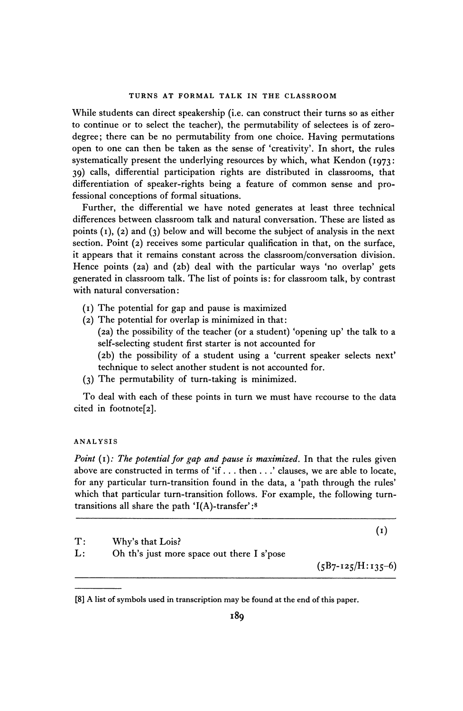**While students can direct speakership (i.e. can construct their turns so as either to continue or to select the teacher), the permutability of selectees is of zerodegree; there can be no permutability from one choice. Having permutations open to one can then be taken as the sense of 'creativity'. In short, the rules systematically present the underlying resources by which, what Kendon (1973: 39) calls, differential participation rights are distributed in classrooms, that differentiation of speaker-rights being a feature of common sense and professional conceptions of formal situations.** 

**Further, the differential we have noted generates at least three technical differences between classroom talk and natural conversation. These are listed as points (i), (2) and (3) below and will become the subject of analysis in the next section. Point (2) receives some particular qualification in that, on the surface, it appears that it remains constant across the classroom/conversation division. Hence points (2a) and (2b) deal with the particular ways 'no overlap' gets generated in classroom talk. The list of points is: for classroom talk, by contrast with natural conversation:** 

- **(i) The potential for gap and pause is maximized**
- **(2) The potential for overlap is minimized in that: (2a) the possibility of the teacher (or a student) 'opening up' the talk to a self-selecting student first starter is not accounted for (2b) the possibility of a student using a 'current speaker selects next' technique to select another student is not accounted for.**
- **(3) The permutability of turn-taking is minimized.**

**To deal with each of these points in turn we must have recourse to the data cited in footnote[2].** 

#### **ANALYSIS**

**Point (i): The potential for gap and pause is maximized. In that the rules given above are constructed in terms of 'if ... then . . .' clauses, we are able to locate, for any particular turn-transition found in the data, a 'path through the rules' which that particular turn-transition follows. For example, the following turntransitions all share the path 'I(A)-transfer' :8** 

| $\mathrm{T}\colon$ | Why's that Lois?                                      |                       |
|--------------------|-------------------------------------------------------|-----------------------|
| Ŀ:                 | Oh th's just more space out there $\mathbf{I}$ s'pose |                       |
|                    |                                                       | $(5B7 - 125/H:135-6)$ |

**<sup>[8]</sup> A list of symbols used in transcription may be found at the end of this paper.**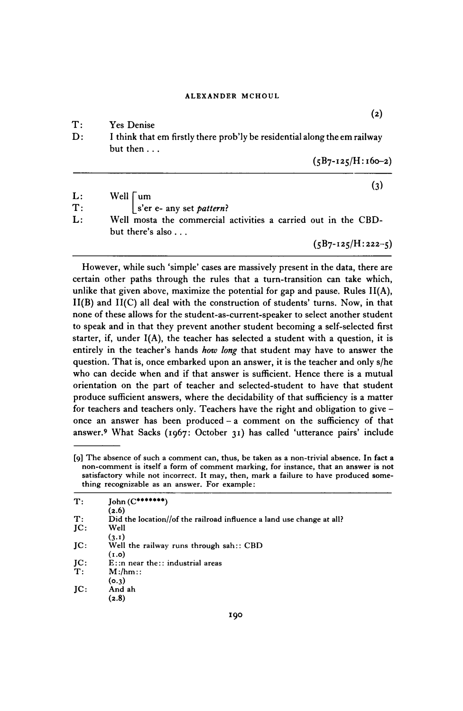| T:<br>$\mathbf{D}$ : | 12 I<br><b>Yes Denise</b><br>I think that em firstly there prob'ly be residential along the em railway<br>but then $\ldots$ |
|----------------------|-----------------------------------------------------------------------------------------------------------------------------|
|                      | $(5B7-125/H:160-2)$                                                                                                         |
| L:                   | (3)                                                                                                                         |
| $\overline{T}$ :     | Well $\int$ um<br>s'er e- any set pattern?                                                                                  |
| L:                   | Well mosta the commercial activities a carried out in the CBD-<br>but there's also $\ldots$                                 |
|                      | $(5B7-125/H:222-5)$                                                                                                         |

**However, while such 'simple' cases are massively present in the data, there are certain other paths through the rules that a turn-transition can take which, unlike that given above, maximize the potential for gap and pause. Rules II(A), II(B) and II(C) all deal with the construction of students' turns. Now, in that none of these allows for the student-as-current-speaker to select another student to speak and in that they prevent another student becoming a self-selected first starter, if, under l(A), the teacher has selected a student with a question, it is entirely in the teacher's hands how long that student may have to answer the question. That is, once embarked upon an answer, it is the teacher and only s/he who can decide when and if that answer is sufficient. Hence there is a mutual orientation on the part of teacher and selected-student to have that student produce sufficient answers, where the decidability of that sufficiency is a matter for teachers and teachers only. Teachers have the right and obligation to give once an answer has been produced - a comment on the sufficiency of that answer.9 What Sacks (I967: October 3I) has called 'utterance pairs' include** 

**<sup>[9]</sup> The absence of such a comment can, thus, be taken as a non-trivial absence. In fact a non-comment is itself a form of comment marking, for instance, that an answer is not satisfactory while not incorrect. It may, then, mark a failure to have produced something recognizable as an answer. For example:** 

| $\mathbf{T}$ :  | John $(C^{\bullet})$                                                  |
|-----------------|-----------------------------------------------------------------------|
|                 | (2.6)                                                                 |
| $\mathbf{T}$ :  | Did the location//of the railroad influence a land use change at all? |
| $\mathbf{IC}$ : | Well                                                                  |
|                 | (3.1)                                                                 |
| $\mathbf{IC}$ : | Well the railway runs through sah:: CBD<br>(i.o)                      |
|                 |                                                                       |
| JC:             | $E$ ::n near the:: industrial areas                                   |
| $\mathbf{T}$ :  | $M$ :/hm::                                                            |
|                 | (0.3)                                                                 |
| $\mathbf{IC}$ : | And ah                                                                |
|                 | (2.8)                                                                 |
|                 | 100                                                                   |
|                 |                                                                       |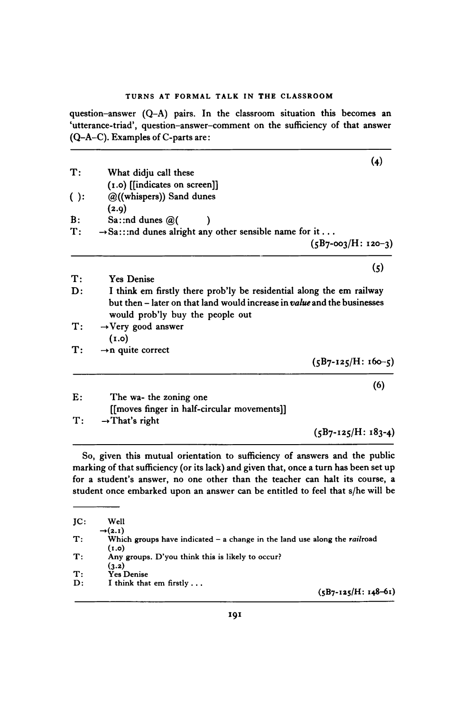**question-answer (Q-A) pairs. In the classroom situation this becomes an 'utterance-triad', question-answer-comment on the sufficiency of that answer (Q-A-C). Examples of C-parts are:** 

 $\mathbf{L}$ 

|                |                                                                                                                                                                                             | (4)                  |
|----------------|---------------------------------------------------------------------------------------------------------------------------------------------------------------------------------------------|----------------------|
| $T$ :          | What didju call these                                                                                                                                                                       |                      |
|                | $(1.0)$ [[indicates on screen]]                                                                                                                                                             |                      |
| ( )            | @((whispers)) Sand dunes                                                                                                                                                                    |                      |
|                | (2.9)                                                                                                                                                                                       |                      |
| B:             | Sa::nd dunes $@($                                                                                                                                                                           |                      |
| $T$ :          | $\rightarrow$ Sa:::nd dunes alright any other sensible name for it                                                                                                                          |                      |
|                |                                                                                                                                                                                             | $(5B7-003/H: 120-3)$ |
|                |                                                                                                                                                                                             | (5)                  |
| $\mathbf{T}$ : | <b>Yes Denise</b>                                                                                                                                                                           |                      |
| $\mathbf{D}$ : | I think em firstly there prob'ly be residential along the em railway<br>but then – later on that land would increase in <i>value</i> and the businesses<br>would prob'ly buy the people out |                      |
| $\mathbf{T}$ : | $\rightarrow$ Very good answer                                                                                                                                                              |                      |
|                | (1.0)                                                                                                                                                                                       |                      |
|                | $T: \longrightarrow n$ quite correct                                                                                                                                                        |                      |
|                |                                                                                                                                                                                             | $(5B7-125/H: 160-5)$ |
|                |                                                                                                                                                                                             | (6)                  |
| E:             | The wa- the zoning one                                                                                                                                                                      |                      |
|                | [[moves finger in half-circular movements]]                                                                                                                                                 |                      |
| $\mathbf{T}$ : | $\rightarrow$ That's right                                                                                                                                                                  |                      |
|                |                                                                                                                                                                                             | $(5B7-125/H: 183-4)$ |
|                |                                                                                                                                                                                             |                      |

**So, given this mutual orientation to sufficiency of answers and the public marking of that sufficiency (or its lack) and given that, once a turn has been set up for a student's answer, no one other than the teacher can halt its course, a student once embarked upon an answer can be entitled to feel that s/he will be** 

**JC: Well**   $\rightarrow$  (2.1) **T: Which groups have indicated - a change in the land use along the railroad (z .o) T: Any groups. D'you think this is likely to occur?**   $(3.2)$ **T: Yes Denise D: I think that em firstly ...**  (5B7-125/H: 148-61)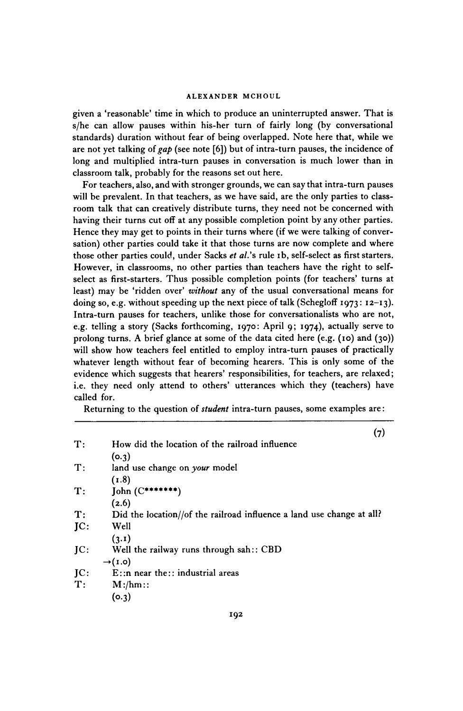**given a 'reasonable' time in which to produce an uninterrupted answer. That is s/he can allow pauses within his-her turn of fairly long (by conversational standards) duration without fear of being overlapped. Note here that, while we are not yet talking of gap (see note [6]) but of intra-turn pauses, the incidence of long and multiplied intra-turn pauses in conversation is much lower than in classroom talk, probably for the reasons set out here.** 

**For teachers, also, and with stronger grounds, we can say that intra-turn pauses will be prevalent. In that teachers, as we have said, are the only parties to classroom talk that can creatively distribute turns, they need not be concerned with having their turns cut off at any possible completion point by any other parties. Hence they may get to points in their turns where (if we were talking of conversation) other parties could take it that those turns are now complete and where those other parties could, under Sacks et al.'s rule ib, self-select as first starters. However, in classrooms, no other parties than teachers have the right to selfselect as first-starters. Thus possible completion points (for teachers' turns at least) may be 'ridden over' without any of the usual conversational means for doing so, e.g. without speeding up the next piece of talk (Schegloff I973: 12-13). Intra-turn pauses for teachers, unlike those for conversationalists who are not, e.g. telling a story (Sacks forthcoming, 1970: April 9; 1974), actually serve to prolong turns. A brief glance at some of the data cited here (e.g. (Io) and (30)) will show how teachers feel entitled to employ intra-turn pauses of practically whatever length without fear of becoming hearers. This is only some of the evidence which suggests that hearers' responsibilities, for teachers, are relaxed; i.e. they need only attend to others' utterances which they (teachers) have called for.** 

**Returning to the question of student intra-turn pauses, some examples are:** 

**(7)** 

| $\mathrm{T}\colon$ | How did the location of the railroad influence                        |
|--------------------|-----------------------------------------------------------------------|
|                    | (0.3)                                                                 |
| T:                 | land use change on <i>your</i> model                                  |
|                    | (1.8)                                                                 |
| T:                 | John $(C******)$                                                      |
|                    | (2.6)                                                                 |
| $\mathbf{T}$ :     | Did the location//of the railroad influence a land use change at all? |
| JC:                | Well                                                                  |
|                    | (3.1)                                                                 |
| $\mathrm{JC}$ :    | Well the railway runs through sah:: CBD                               |
|                    | $\rightarrow (1.0)$                                                   |
| JC:                | E::n near the:: industrial areas                                      |
| T:                 | $M'/hm$ ::                                                            |
|                    | (0.3)                                                                 |
|                    |                                                                       |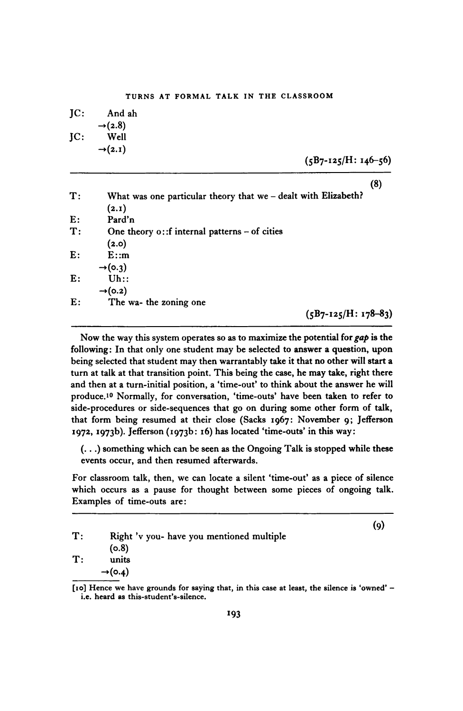| JC:            | And ah                                                         |
|----------------|----------------------------------------------------------------|
|                | $\rightarrow$ (2.8)                                            |
| JC:            | Well                                                           |
|                | $\rightarrow (2.1)$                                            |
|                | $(5B7-125/H: 146-56)$                                          |
|                | (8)                                                            |
| $\mathbf{T}$ : | What was one particular theory that we - dealt with Elizabeth? |
|                | (2.1)                                                          |
| E:             | Pard'n                                                         |
| $\mathbf{T}$ : | One theory o:: f internal patterns - of cities                 |
|                | (2.0)                                                          |
| E:             | E: m                                                           |
|                | $\rightarrow$ (0.3)                                            |
| E:             | Uh::                                                           |
|                | $\rightarrow$ (0.2)                                            |
| E:             | The wa- the zoning one                                         |
|                | $(5B7-125/H: 178-83)$                                          |
|                |                                                                |

**Now the way this system operates so as to maximize the potential for gap is the following: In that only one student may be selected to answer a question, upon being selected that student may then warrantably take it that no other will start a turn at talk at that transition point. This being the case, he may take, right there and then at a turn-initial position, a 'time-out' to think about the answer he will produce.10 Normally, for conversation, 'time-outs' have been taken to refer to side-procedures or side-sequences that go on during some other form of talk, that form being resumed at their close (Sacks 1967: November 9; Jefferson 1972, I973b). Jefferson (1973b: i6) has located 'time-outs' in this way:** 

**(.. .) something which can be seen as the Ongoing Talk is stopped while these events occur, and then resumed afterwards.** 

**For classroom talk, then, we can locate a silent 'time-out' as a piece of silence which occurs as a pause for thought between some pieces of ongoing talk. Examples of time-outs are:** 

 $(2)$ 

| $\mathbf{T}$ : | Right 'v you- have you mentioned multiple | 191 |
|----------------|-------------------------------------------|-----|
|                | (o.8)                                     |     |
| $\mathbf{T}$ : | units                                     |     |
|                | $\rightarrow$ (0.4)                       |     |
|                |                                           |     |

**<sup>[</sup>io] Hence we have grounds for saying that, in this case at least, the silence is 'owned' i.e. heard as this-student's-silence.**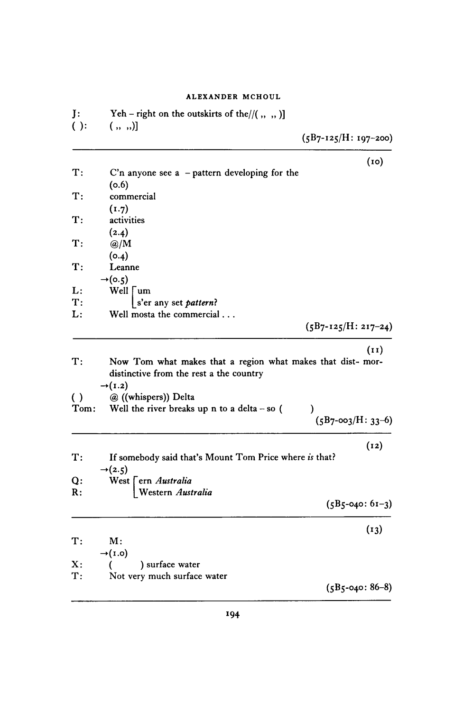| J:     | Yeh – right on the outskirts of the//(,,,,)] |  |
|--------|----------------------------------------------|--|
| $\sim$ |                                              |  |

 $( ): ( , , , , )]$ 

|                    |                                                             | (10)                |
|--------------------|-------------------------------------------------------------|---------------------|
| $\mathbf{T}$ :     | C'n anyone see $a$ – pattern developing for the             |                     |
|                    | (0.6)                                                       |                     |
| T:                 | commercial                                                  |                     |
|                    | (1.7)                                                       |                     |
| $\mathbf{T}$ :     | activities                                                  |                     |
|                    | (2.4)                                                       |                     |
| T:                 | $\omega/M$                                                  |                     |
|                    | (0.4)                                                       |                     |
| $\mathbf{T}$ :     | Leanne                                                      |                     |
|                    | $\rightarrow$ (0.5)                                         |                     |
| L:                 | Well $\lceil$ um                                            |                     |
| T:                 | s'er any set pattern?                                       |                     |
| L:                 | Well mosta the commercial                                   |                     |
|                    | $(5B7-125/H: 217-24)$                                       |                     |
|                    |                                                             | (11)                |
| $T$ :              | Now Tom what makes that a region what makes that dist- mor- |                     |
|                    | distinctive from the rest a the country                     |                     |
|                    | $\rightarrow (1.2)$                                         |                     |
| $\left( \ \right)$ | @ ((whispers)) Delta                                        |                     |
| Tom:               | Well the river breaks up n to a delta $-$ so (<br>1         | $(5B7-003/H: 33-6)$ |
|                    |                                                             |                     |
|                    |                                                             | (12)                |
| T:                 | If somebody said that's Mount Tom Price where is that?      |                     |
|                    | $\rightarrow$ (2.5)                                         |                     |
| Q:                 |                                                             |                     |
| R:                 | West [ern Australia<br>Western Australia                    |                     |
|                    |                                                             | $(5B5-040:61-3)$    |
|                    |                                                             | (13)                |
| $\mathbf{T}\colon$ | M:                                                          |                     |
|                    | $\rightarrow (1.0)$                                         |                     |
| X:                 | ) surface water                                             |                     |
| $T$ :              | Not very much surface water                                 |                     |
|                    |                                                             | $(5B5-040:86-8)$    |
|                    |                                                             |                     |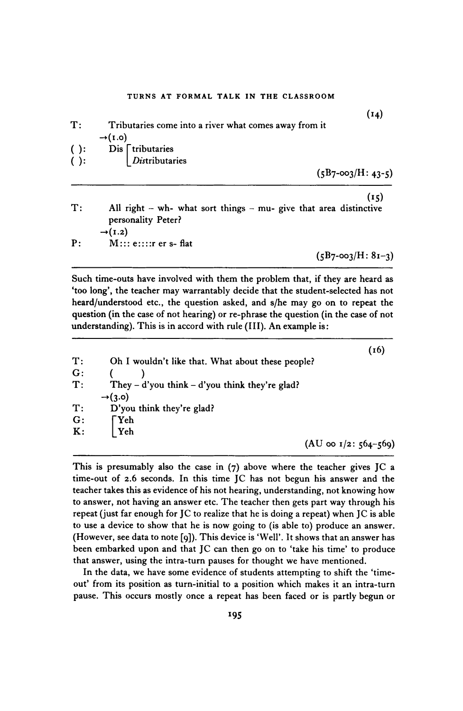| T:<br>$( )$ :   | Tributaries come into a river what comes away from it<br>$\rightarrow (1.0)$<br>Dis [tributaries |                     |
|-----------------|--------------------------------------------------------------------------------------------------|---------------------|
| $\overline{()}$ | $ $ <i>Distributaries</i>                                                                        |                     |
|                 |                                                                                                  | $(5B7-003/H: 43-5)$ |
| $\mathbf{T}$ :  | All right $-$ wh- what sort things $-$ mu- give that area distinctive<br>nargonality Datar)      | (15)                |

**personality Peter?**   $\rightarrow$ (1.2) **P: M::: e::::r er s- flat (5B7-oo3/H: 81-3)** 

**Such time-outs have involved with them the problem that, if they are heard as 'too long', the teacher may warrantably decide that the student-selected has not heard/understood etc., the question asked, and s/he may go on to repeat the question (in the case of not hearing) or re-phrase the question (in the case of not understanding). This is in accord with rule (III). An example is:** 

**(i6)** 

 $(14)$ 

| T:            | Oh I wouldn't like that. What about these people?    |
|---------------|------------------------------------------------------|
| G:            |                                                      |
| T:            | They $- d$ 'you think $- d$ 'you think they're glad? |
|               | $\rightarrow$ (3.0)                                  |
| T:            | D'you think they're glad?                            |
|               | $\int$ Yeh                                           |
| $\frac{G}{K}$ | Yeh                                                  |
|               | $(AU \text{ oo } I/2: 564-569)$                      |

**This is presumably also the case in (7) above where the teacher gives JC a time-out of 2.6 seconds. In this time JC has not begun his answer and the teacher takes this as evidence of his not hearing, understanding, not knowing how to answer, not having an answer etc. The teacher then gets part way through his repeat (just far enough for JC to realize that he is doing a repeat) when JC is able to use a device to show that he is now going to (is able to) produce an answer. (However, see data to note [9]). This device is 'Well'. It shows that an answer has been embarked upon and that JC can then go on to 'take his time' to produce that answer, using the intra-turn pauses for thought we have mentioned.** 

**In the data, we have some evidence of students attempting to shift the 'timeout' from its position as turn-initial to a position which makes it an intra-turn pause. This occurs mostly once a repeat has been faced or is partly begun or**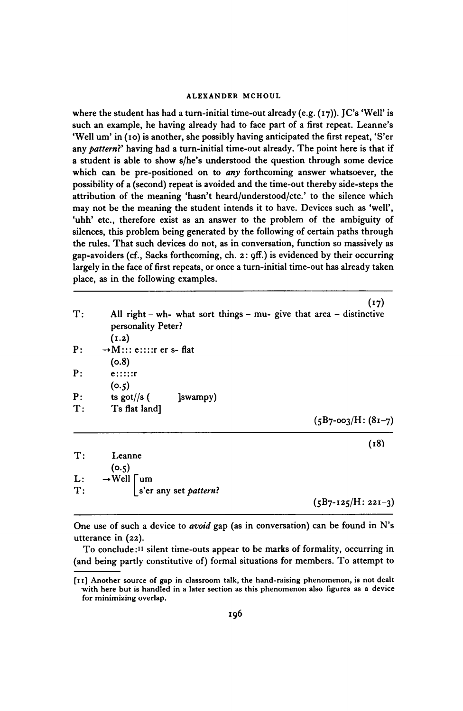**where the student has had a turn-initial time-out already (e.g. (I7)). JC's 'Well' is such an example, he having already had to face part of a first repeat. Leanne's 'Well um' in (io) is another, she possibly having anticipated the first repeat, 'S'er any pattern?' having had a turn-initial time-out already. The point here is that if a student is able to show s/he's understood the question through some device which can be pre-positioned on to any forthcoming answer whatsoever, the possibility of a (second) repeat is avoided and the time-out thereby side-steps the attribution of the meaning 'hasn't heard/understood/etc.' to the silence which may not be the meaning the student intends it to have. Devices such as 'well', 'uhh' etc., therefore exist as an answer to the problem of the ambiguity of silences, this problem being generated by the following of certain paths through the rules. That such devices do not, as in conversation, function so massively as gap-avoiders (cf., Sacks forthcoming, ch. 2: gff.) is evidenced by their occurring largely in the face of first repeats, or once a turn-initial time-out has already taken place, as in the following examples.** 

| T:             | All right – wh- what sort things – mu- give that area – distinctive<br>personality Peter? | (17)                  |  |  |  |
|----------------|-------------------------------------------------------------------------------------------|-----------------------|--|--|--|
|                | (1.2)                                                                                     |                       |  |  |  |
| P:             | $\rightarrow$ M::: e::::r er s- flat                                                      |                       |  |  |  |
|                | (0.8)                                                                                     |                       |  |  |  |
| P:             | e::::::r                                                                                  |                       |  |  |  |
|                | (0.5)                                                                                     |                       |  |  |  |
| ${\bf P}$ :    | ts $got//s$ ( $\qquad$ [swampy)                                                           |                       |  |  |  |
| T:             | Ts flat land]                                                                             |                       |  |  |  |
|                |                                                                                           | $(5B7-003/H: (8I-7))$ |  |  |  |
|                |                                                                                           | (18)                  |  |  |  |
| $\mathbf{T}$ : | Leanne                                                                                    |                       |  |  |  |
|                | (0.5)                                                                                     |                       |  |  |  |
| L:             | $\rightarrow$ Well $\lceil$ um                                                            |                       |  |  |  |
| $\mathbf{T}$ : | s'er any set pattern?                                                                     |                       |  |  |  |

**One use of such a device to avoid gap (as in conversation) can be found in N's utterance in (22).** 

**(5B7-125/H: 221-3)** 

To conclude:<sup>11</sup> silent time-outs appear to be marks of formality, occurring in **(and being partly constitutive of) formal situations for members. To attempt to** 

<sup>[11]</sup> Another source of gap in classroom talk, the hand-raising phenomenon, is not dealt **'with here but is handled in a later section as this phenomenon also figures as a device for minimizing overlap.**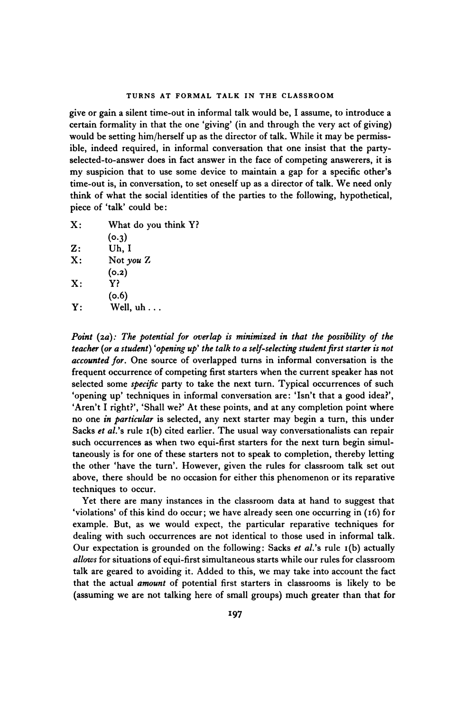**give or gain a silent time-out in informal talk would be, I assume, to introduce a certain formality in that the one 'giving' (in and through the very act of giving) would be setting him/herself up as the director of talk. While it may be permissible, indeed required, in informal conversation that one insist that the partyselected-to-answer does in fact answer in the face of competing answerers, it is my suspicion that to use some device to maintain a gap for a specific other's time-out is, in conversation, to set oneself up as a director of talk. We need only think of what the social identities of the parties to the following, hypothetical, piece of 'talk' could be:** 

| $\mathbf{x}\colon$ | What do you think Y? |
|--------------------|----------------------|
|                    | (o.3)                |
| Z:                 | Uh. I                |
| $\mathbf{X}$ :     | Not you Z            |
|                    | (0.2)                |
| $\mathbf{X}$ :     | Y?                   |
|                    | (0.6)                |
| $\mathbf{Y}$       | Well, uh             |
|                    |                      |

**Point (2a): The potential for overlap is minimized in that the possibility of the**  teacher (or a student) 'opening up' the talk to a self-selecting student first starter is not **accounted for. One source of overlapped turns in informal conversation is the frequent occurrence of competing first starters when the current speaker has not selected some specific party to take the next turn. Typical occurrences of such 'opening up' techniques in informal conversation are: 'Isn't that a good idea?', 'Aren't I right?', 'Shall we?' At these points, and at any completion point where no one in particular is selected, any next starter may begin a turn, this under Sacks et al.'s rule i(b) cited earlier. The usual way conversationalists can repair such occurrences as when two equi-first starters for the next turn begin simultaneously is for one of these starters not to speak to completion, thereby letting the other 'have the turn'. However, given the rules for classroom talk set out above, there should be no occasion for either this phenomenon or its reparative techniques to occur.** 

**Yet there are many instances in the classroom data at hand to suggest that 'violations' of this kind do occur; we have already seen one occurring in (i6) for example. But, as we would expect, the particular reparative techniques for dealing with such occurrences are not identical to those used in informal talk. Our expectation is grounded on the following: Sacks et al.'s rule i(b) actually allows for situations of equi-first simultaneous starts while our rules for classroom talk are geared to avoiding it. Added to this, we may take into account the fact that the actual amount of potential first starters in classrooms is likely to be (assuming we are not talking here of small groups) much greater than that for**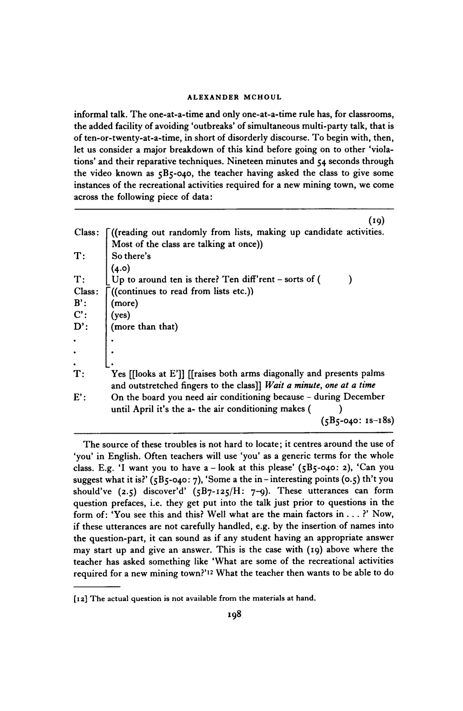**informal talk. The one-at-a-time and only one-at-a-time rule has, for classrooms, the added facility of avoiding 'outbreaks' of simultaneous multi-party talk, that is of ten-or-twenty-at-a-time, in short of disorderly discourse. To begin with, then, let us consider a major breakdown of this kind before going on to other 'violations' and their reparative techniques. Nineteen minutes and 54 seconds through the video known as 5B5-o40, the teacher having asked the class to give some instances of the recreational activities required for a new mining town, we come across the following piece of data:** 

 $(n_0)$ 

| Class:         | [((reading out randomly from lists, making up candidate activities.                                                                          |
|----------------|----------------------------------------------------------------------------------------------------------------------------------------------|
|                | Most of the class are talking at once))                                                                                                      |
| $T$ :          | So there's                                                                                                                                   |
|                | (4.0)                                                                                                                                        |
| T:             | Up to around ten is there? Ten diff'rent – sorts of (                                                                                        |
| Class:         | ((continues to read from lists etc.))                                                                                                        |
| $B$ :          | (more)                                                                                                                                       |
| $C$ :          | (yes)                                                                                                                                        |
| $D$ :          | (more than that)                                                                                                                             |
|                |                                                                                                                                              |
|                |                                                                                                                                              |
|                |                                                                                                                                              |
| $\mathbf{T}$ : | Yes [[looks at E']] [[raises both arms diagonally and presents palms<br>and outstretched fingers to the class]] Wait a minute, one at a time |
| $E$ :          | On the board you need air conditioning because - during December<br>until April it's the a- the air conditioning makes (                     |
|                | $(5B5-040:18-18s)$                                                                                                                           |

**The source of these troubles is not hard to locate; it centres around the use of 'you' in English. Often teachers will use 'you' as a generic terms for the whole class. E.g. 'I want you to have a - look at this please' (5B5-o4o: 2), 'Can you suggest what it is?' (5B5-o40: 7), 'Some a the in - interesting points (0.5) th't you should've (2.5) discover'd' (5B7-I25/H: 7-9). These utterances can form question prefaces, i.e. they get put into the talk just prior to questions in the form of: 'You see this and this? Well what are the main factors in. . . ?' Now, if these utterances are not carefully handled, e.g. by the insertion of names into the question-part, it can sound as if any student having an appropriate answer may start up and give an answer. This is the case with (I9) above where the teacher has asked something like 'What are some of the recreational activities required for a new mining town?'12 What the teacher then wants to be able to do** 

**<sup>[</sup>I2] The actual question is not available from the materials at hand.**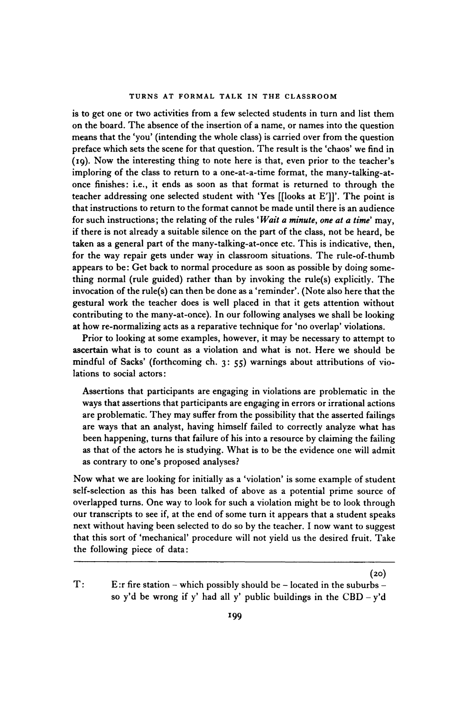**is to get one or two activities from a few selected students in turn and list them**  on the board. The absence of the insertion of a name, or names into the question **means that the 'you' (intending the whole class) is carried over from the question preface which sets the scene for that question. The result is the 'chaos' we find in (i9). Now the interesting thing to note here is that, even prior to the teacher's imploring of the class to return to a one-at-a-time format, the many-talking-atonce finishes: i.e., it ends as soon as that format is returned to through the teacher addressing one selected student with 'Yes [[looks at E']]'. The point is that instructions to return to the format cannot be made until there is an audience for such instructions; the relating of the rules 'Wait a minute, one at a time' may, if there is not already a suitable silence on the part of the class, not be heard, be taken as a general part of the many-talking-at-once etc. This is indicative, then, for the way repair gets under way in classroom situations. The rule-of-thumb appears to be: Get back to normal procedure as soon as possible by doing something normal (rule guided) rather than by invoking the rule(s) explicitly. The invocation of the rule(s) can then be done as a 'reminder'. (Note also here that the gestural work the teacher does is well placed in that it gets attention without contributing to the many-at-once). In our following analyses we shall be looking at how re-normalizing acts as a reparative technique for 'no overlap' violations.** 

**Prior to looking at some examples, however, it may be necessary to attempt to ascertain what is to count as a violation and what is not. Here we should be mindful of Sacks' (forthcoming ch. 3: 55) warnings about attributions of violations to social actors:** 

**Assertions that participants are engaging in violations are problematic in the ways that assertions that participants are engaging in errors or irrational actions are problematic. They may suffer from the possibility that the asserted failings are ways that an analyst, having himself failed to correctly analyze what has been happening, turns that failure of his into a resource by claiming the failing as that of the actors he is studying. What is to be the evidence one will admit as contrary to one's proposed analyses?** 

**Now what we are looking for initially as a 'violation' is some example of student self-selection as this has been talked of above as a potential prime source of overlapped turns. One way to look for such a violation might be to look through our transcripts to see if, at the end of some turn it appears that a student speaks next without having been selected to do so by the teacher. I now want to suggest that this sort of 'mechanical' procedure will not yield us the desired fruit. Take the following piece of data:** 

**(20)** 

**T: E :r fire station - which possibly should be - located in the suburbs so y'd be wrong if y' had all y' public buildings in the CBD - y'd**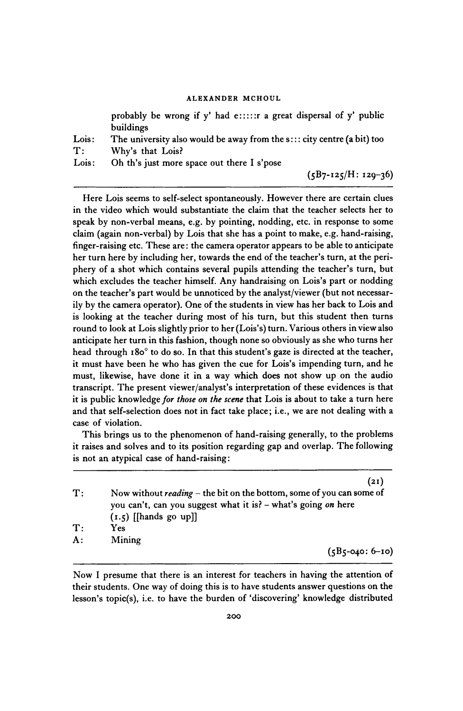|                | probably be wrong if $y'$ had e::::: r a great dispersal of $y'$ public  |
|----------------|--------------------------------------------------------------------------|
|                | buildings                                                                |
| Lois:          | The university also would be away from the $s::$ city centre (a bit) too |
| $\mathbf{T}$ : | Why's that Lois?                                                         |
| Lois:          | Oh th's just more space out there I s'pose                               |
|                | $(5B7-125/H: 129-36)$                                                    |

**Here Lois seems to self-select spontaneously. However there are certain clues in the video which would substantiate the claim that the teacher selects her to speak by non-verbal means, e.g. by pointing, nodding, etc. in response to some claim (again non-verbal) by Lois that she has a point to make, e.g. hand-raising, finger-raising etc. These are: the camera operator appears to be able to anticipate her turn here by including her, towards the end of the teacher's turn, at the periphery of a shot which contains several pupils attending the teacher's turn, but which excludes the teacher himself. Any handraising on Lois's part or nodding on the teacher's part would be unnoticed by the analyst/viewer (but not necessarily by the camera operator). One of the students in view has her back to Lois and is looking at the teacher during most of his turn, but this student then turns round to look at Lois slightly prior to her (Lois's) turn. Various others in view also anticipate her turn in this fashion, though none so obviously as she who turns her**  head through **180<sup>°</sup>** to do so. In that this student's gaze is directed at the teacher, **it must have been he who has given the cue for Lois's impending turn, and he must, likewise, have done it in a way which does not show up on the audio transcript. The present viewer/analyst's interpretation of these evidences is that it is public knowledge for those on the scene that Lois is about to take a turn here and that self-selection does not in fact take place; i.e., we are not dealing with a**  case of violation.

**This brings us to the phenomenon of hand-raising generally, to the problems it raises and solves and to its position regarding gap and overlap. The following is not an atypical case of hand-raising:** 

|              | (21)                                                                          |
|--------------|-------------------------------------------------------------------------------|
| T:           | Now without <i>reading</i> $-$ the bit on the bottom, some of you can some of |
|              | you can't, can you suggest what it is? - what's going on here                 |
|              | $(1.5)$ [[hands go up]]                                                       |
| $\mathbf{T}$ | Yes                                                                           |
| $A$ :        | Mining                                                                        |
|              | $(5B5-040:6-10)$                                                              |

**Now I presume that there is an interest for teachers in having the attention of their students. One way of doing this is to have students answer questions on the lesson's topic(s), i.e. to have the burden of 'discovering' knowledge distributed**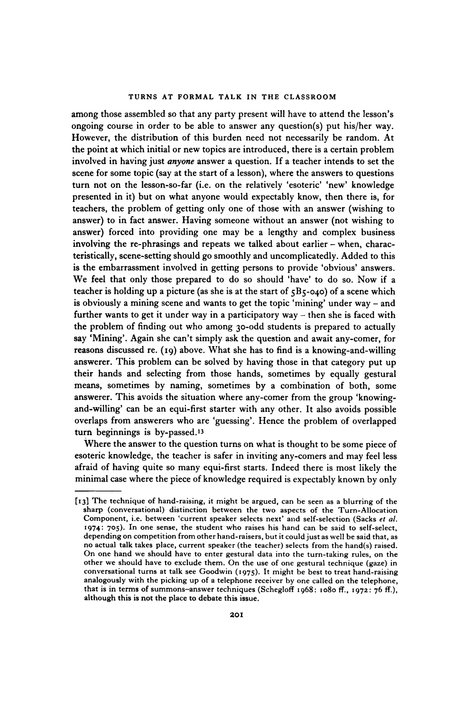**among those assembled so that any party present will have to attend the lesson's ongoing course in order to be able to answer any question(s) put his/her way. However, the distribution of this burden need not necessarily be random. At the point at which initial or new topics are introduced, there is a certain problem involved in having just anyone answer a question. If a teacher intends to set the scene for some topic (say at the start of a lesson), where the answers to questions turn not on the lesson-so-far (i.e. on the relatively 'esoteric' 'new' knowledge presented in it) but on what anyone would expectably know, then there is, for teachers, the problem of getting only one of those with an answer (wishing to answer) to in fact answer. Having someone without an answer (not wishing to answer) forced into providing one may be a lengthy and complex business involving the re-phrasings and repeats we talked about earlier - when, characteristically, scene-setting should go smoothly and uncomplicatedly. Added to this is the embarrassment involved in getting persons to provide 'obvious' answers. We feel that only those prepared to do so should 'have' to do so. Now if a**  teacher is holding up a picture (as she is at the start of  $5B5-040$ ) of a scene which **is obviously a mining scene and wants to get the topic 'mining' under way - and**  further wants to get it under way in a participatory way – then she is faced with **the problem of finding out who among 3o-odd students is prepared to actually say 'Mining'. Again she can't simply ask the question and await any-comer, for reasons discussed re. (I9) above. What she has to find is a knowing-and-willing answerer. This problem can be solved by having those in that category put up their hands and selecting from those hands, sometimes by equally gestural means, sometimes by naming, sometimes by a combination of both, some answerer. This avoids the situation where any-comer from the group 'knowingand-willing' can be an equi-first starter with any other. It also avoids possible overlaps from answerers who are 'guessing'. Hence the problem of overlapped turn beginnings is by-passed.13** 

**Where the answer to the question turns on what is thought to be some piece of esoteric knowledge, the teacher is safer in inviting any-comers and may feel less afraid of having quite so many equi-first starts. Indeed there is most likely the minimal case where the piece of knowledge required is expectably known by only** 

**<sup>[13]</sup> The technique of hand-raising, it might be argued, can be seen as a blurring of the sharp (conversational) distinction between the two aspects of the Turn-Allocation Component, i.e. between 'current speaker selects next' anid self-selection (Sacks et al. I974: 705). In one sense, the student who raises his hand can be said to self-select, depending on competition from other hand-raisers, but it could just as well be said that, as no actual talk takes place, current speaker (the teacher) selects from the hand(s) raised. On one hand we should have to enter gestural data into the turn-taking rules, on the other we should have to exclude them. On the use of one gestural technique (gaze) in conversational turns at talk see Goodwin (I975). It might be best to treat hand-raising analogously with the picking up of a telephone receiver by one called on the telephone, that is in terms of summons-answer techniques (Schegloff I968: io8o ff., 1972: 76 ff.), although this is not the place to debate this issue.**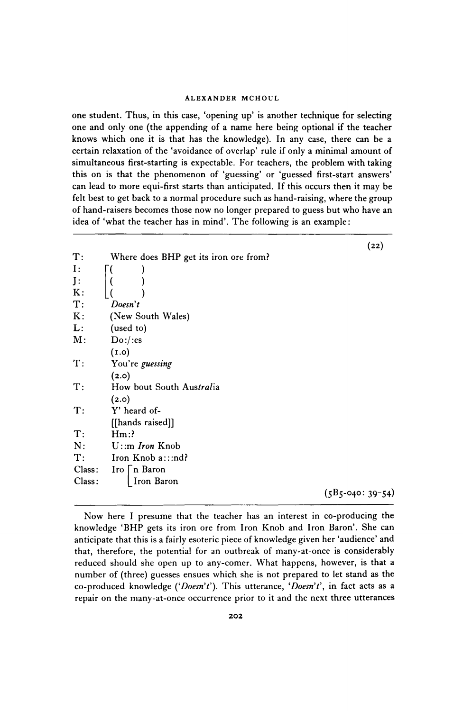**one student. Thus, in this case, 'opening up' is another technique for selecting one and only one (the appending of a name here being optional if the teacher knows which one it is that has the knowledge). In any case, there can be a certain relaxation of the 'avoidance of overlap' rule if only a minimal amount of simultaneous first-starting is expectable. For teachers, the problem with taking this on is that the phenonmenon of 'guessing' or 'guessed first-start answers' can lead to more equi-first starts than anticipated. If this occurs then it may be felt best to get back to a normal procedure such as hand-raising, where the group of hand-raisers becomes those now no longer prepared to guess but who have an idea of 'what the teacher has in mind'. The following is an example:** 

|                |                                       | (22)                 |
|----------------|---------------------------------------|----------------------|
| $T$ :          | Where does BHP get its iron ore from? |                      |
|                |                                       |                      |
| I:<br>J:<br>K: |                                       |                      |
|                |                                       |                      |
| T:             | Doesn't                               |                      |
| K:             | (New South Wales)                     |                      |
| L:             | (used to)                             |                      |
| M:             | $Do:$ :es                             |                      |
|                | (1.0)                                 |                      |
| $T$ :          | You're guessing                       |                      |
|                | (2.0)                                 |                      |
| $T$ :          | How bout South Australia              |                      |
|                | (2.0)                                 |                      |
| T:             | Y' heard of-                          |                      |
|                | [[hands raised]]                      |                      |
| $T$ :          | $Hm$ :?                               |                      |
| N:             | $U$ ::m Iron Knob                     |                      |
| $T$ :          | Iron Knob a:::nd?                     |                      |
|                | Class: Iro n Baron                    |                      |
| Class:         | Iron Baron                            |                      |
|                |                                       | $(5B_5$ -040: 39-54) |

**Now here I presume that the teacher has an interest in co-producing the knowledge 'BHP gets its iron ore from Iron Knob and Iron Baron'. She can anticipate that this is a fairly esoteric piece of knowledge given her 'audience' and that, therefore, the potential for an outbreak of many-at-once is considerably reduced should she open up to any-comer. What happens, however, is that a number of (three) guesses ensues which she is not prepared to let stand as the co-produced knowledge ('Doesn't'). This utterance, 'Doesn't', in fact acts as a repair on the many-at-once occurrence prior to it and the next three utterances** 

**202**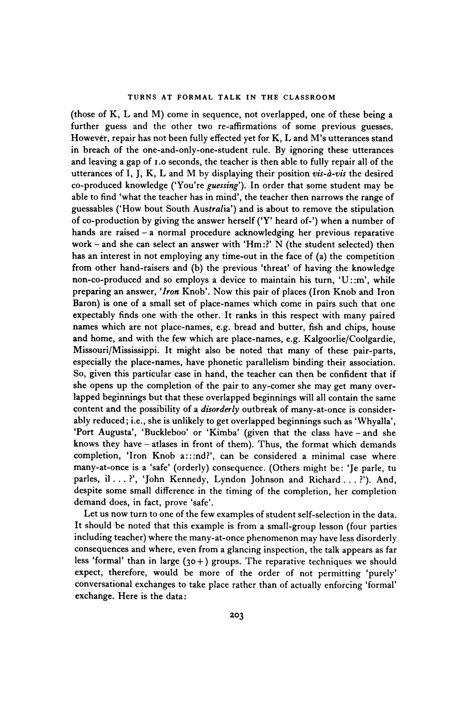**(those of K, L and M) come in sequence, not overlapped, one of these being a further guess and the other two re-affirmations of some previous guesses.**  However, repair has not been fully effected yet for K, L and M's utterances stand **in breach of the one-and-only-one-student rule. By ignoring these utterances and leaving a gap of i.o seconds, the teacher is then able to fully repair all of the**  utterances of I, J, K, L and M by displaying their position *vis-à-vis* the desired **co-produced knowledge ('You're guessing'). In order that some student may be able to find 'what the teacher has in mind', the teacher then narrows the range of guessables ('How bout South Australia') and is about to remove the stipulation of co-production by giving the answer herself ('Y' heard of-') when a number of hands are raised - a normal procedure acknowledging her previous reparative work - and she can select an answer with 'Hm:?' N (the student selected) then has an interest in not employing any time-out in the face of (a) the competition from other hand-raisers and (b) the previous 'threat' of having the knowledge non-co-produced and so employs a device to maintain his turn, 'U::m', while preparing an answer, 'Iron Knob'. Now this pair of places (Iron Knob and Iron Baron) is one of a small set of place-names which come in pairs such that one expectably finds one with the other. It ranks in this respect with many paired names which are not place-names, e.g. bread and butter, fish and chips, house and home, and with the few which are place-names, e.g. Kalgoorlie/Coolgardie, Missouri/Mississippi. It might also be noted that many of these pair-parts, especially the place-names, have phonetic parallelism binding their association. So, given this particular case in hand, the teacher can then be confident that if she opens up the completion of the pair to any-comer she may get many overlapped beginnings but that these overlapped beginnings will all contain the same content and the possibility of a disorderly outbreak of many-at-once is considerably reduced; i.e., she is unlikely to get overlapped beginnings such as 'Whyalla', 'Port Augusta', 'Buckleboo' or 'Kimba' (given that the class have - and she knows they have - atlases in front of them). Thus, the format which demands completion, 'Iron Knob a:::nd?', can be considered a minimal case where many-at-once is a 'safe' (orderly) consequence. (Others might be: 'Je parle, tu parles, il ... ?', 'John Kennedy, Lyndon Johnson and Richard ... ?'). And, despite some small difference in the timing of the completion, her completion demand does, in fact, prove 'safe'.** 

**Let us now turn to one of the few examples of student self-selection in the data. It should be noted that this example is from a small-group lesson (four parties including teacher) where the many-at-once phenomenon may have less disorderly consequences and where, even from a glancing inspection, the talk appears as far less 'formal' than in large (30+) groups. The reparative techniques we should expect, therefore, would be more of the order of not permitting 'purely' conversational exchanges to take place rather than of actually enforcing 'formal' exchange. Here is the data:**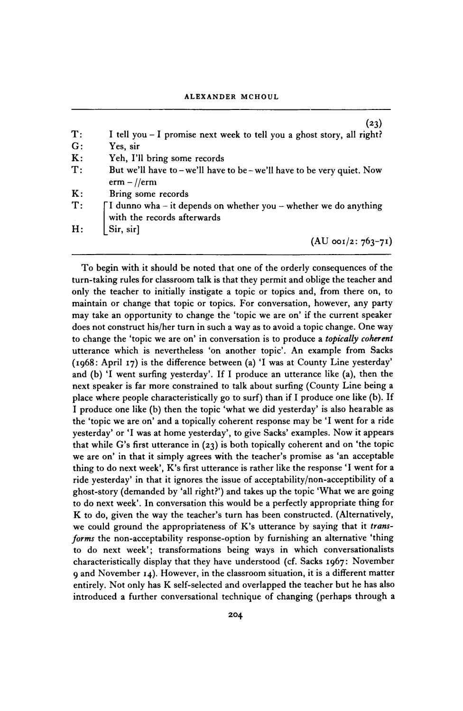|                | (23)                                                                                                                                 |
|----------------|--------------------------------------------------------------------------------------------------------------------------------------|
| $\mathbf{T}$ : | I tell you - I promise next week to tell you a ghost story, all right?                                                               |
| G:             | Yes. sir                                                                                                                             |
| $\mathbf{K}$ : | Yeh, I'll bring some records                                                                                                         |
| T:             | But we'll have to – we'll have to be – we'll have to be very quiet. Now<br>$erm - //ern$                                             |
| $\mathbf{K}$ : | Bring some records                                                                                                                   |
| T:             | $\begin{bmatrix} 1 \text{ dunno} wha - it depends on whether you - whether we do anything with the records afterwards \end{bmatrix}$ |
| H:             | Sir, sir]                                                                                                                            |
|                | $(AU oo1/2: 763-71)$                                                                                                                 |

**To begin with it should be noted that one of the orderly consequences of the turn-taking rules for classroom talk is that they permit and oblige the teacher and only the teacher to initially instigate a topic or topics and, from there on, to maintain or change that topic or topics. For conversation, however, any party may take an opportunity to change the 'topic we are on' if the current speaker does not construct his/her turn in such a way as to avoid a topic change. One way to change the 'topic we are on' in conversation is to produce a topically coherent utterance which is nevertheless 'on another topic'. An example from Sacks (I968: April I7) is the difference between (a) 'I was at County Line yesterday' and (b) 'I went surfing yesterday'. If I produce an utterance like (a), then the next speaker is far more constrained to talk about surfing (County Line being a place where people characteristically go to surf) than if I produce one like (b). If I produce one like (b) then the topic 'what we did yesterday' is also hearable as the 'topic we are on' and a topically coherent response may be 'I went for a ride yesterday' or 'I was at home yesterday', to give Sacks' examples. Now it appears that while G's first utterance in (23) is both topically coherent and on 'the topic we are on' in that it simply agrees with the teacher's promise as 'an acceptable thing to do next week', K's first utterance is rather like the response 'I went for a ride yesterday' in that it ignores the issue of acceptability/non-acceptibility of a ghost-story (demanded by 'all right?') and takes up the topic 'What we are going to do next week'. In conversation this would be a perfectly appropriate thing for K to do, given the way the teacher's turn has been constructed. (Alternatively, we could ground the appropriateness of K's utterance by saying that it transforms the non-acceptability response-option by furnishing an alternative 'thing to do next week'; transformations being ways in which conversationalists characteristically display that they have understood (cf. Sacks I967: November 9 and November 14). However, in the classroom situation, it is a different matter entirely. Not only has K self-selected and overlapped the teacher but he has also introduced a further conversational technique of changing (perhaps through a**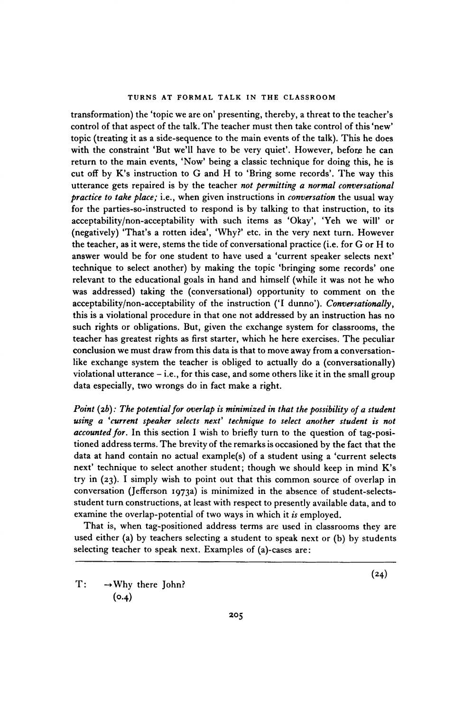**transformation) the 'topic we are on' presenting, thereby, a threat to the teacher's control of that aspect of the talk. The teacher must then take control of this'new' topic (treating it as a side-sequence to the main events of the talk). This he does**  with the constraint 'But we'll have to be very quiet'. However, before he can **return to the main events, 'Now' being a classic technique for doing this, he is cut off by K's instruction to G and H to 'Bring some records'. The way this utterance gets repaired is by the teacher not permitting a normal conversational practice to take place; i.e., when given instructions in conversation the usual way for the parties-so-instructed to respond is by talking to that instruction, to its acceptability/non-acceptability with such items as 'Okay', 'Yeh we will' or (negatively) 'That's a rotten idea', 'Why?' etc. in the very next turn. However the teacher, as it were, stems the tide of conversational practice (i.e. for G or H to answer would be for one student to have used a 'current speaker selects next' technique to select another) by making the topic 'bringing some records' one relevant to the educational goals in hand and himself (while it was not he who was addressed) taking the (conversational) opportunity to comment on the acceptability/non-acceptability of the instruction ('I dunno'). Conversationally, this is a violational procedure in that one not addressed by an instruction has no such rights or obligations. But, given the exchange system for classrooms, the teacher has greatest rights as first starter, which he here exercises. The peculiar conclusion we must draw from this data is that to move away from a conversationlike exchange system the teacher is obliged to actually do a (conversationally) violational utterance - i.e., for this case, and some others like it in the small group data especially, two wrongs do in fact make a right.** 

Point (2b): The potential for overlap is minimized in that the possibility of a student **using a 'current speaker selects next' technique to select another student is not accounted for. In this section I wish to briefly turn to the question of tag-positioned address terms. The brevity of the remarks is occasioned by the fact that the data at hand contain no actual example(s) of a student using a 'current selects next' technique to select another student; though we should keep in mind K's try in (23). I simply wish to point out that this common source of overlap in conversation (Jefferson 1973a) is minimized in the absence of student-selectsstudent turn constructions, at least with respect to presently available data, and to examine the overlap-potential of two ways in which it is employed.** 

**That is, when tag-positioned address terms are used in classrooms they are used either (a) by teachers selecting a student to speak next or (b) by students selecting teacher to speak next. Examples of (a)-cases are:** 

T: → Why there John? **(0.4)**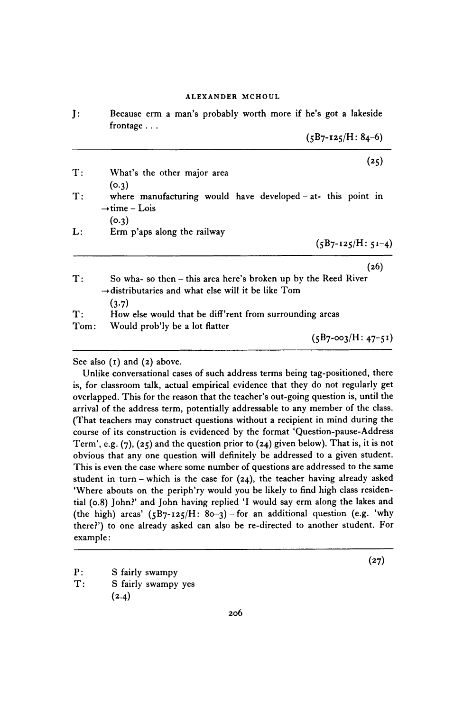| J:             | Because erm a man's probably worth more if he's got a lakeside<br>frontage $\ldots$                                                         |
|----------------|---------------------------------------------------------------------------------------------------------------------------------------------|
|                | $(5B7 - 125/H: 84-6)$                                                                                                                       |
|                | (25)                                                                                                                                        |
| $\mathrm{T}$ : | What's the other major area                                                                                                                 |
| T:             | (0.3)<br>where manufacturing would have developed $-$ at- this point in<br>$\rightarrow$ time – Lois                                        |
|                | (0.3)                                                                                                                                       |
| L:             | Erm p'aps along the railway<br>$(5B7-125/H: 5I-4)$                                                                                          |
|                | (26)                                                                                                                                        |
| $\mathbf{T}$ : | So wha- so then $-$ this area here's broken up by the Reed River<br>$\rightarrow$ distributaries and what else will it be like Tom<br>(3.7) |
| T:             | How else would that be diff'rent from surrounding areas                                                                                     |
|                | Tom: Would prob'ly be a lot flatter                                                                                                         |
|                | $(5B7-003/H: 47-5I)$                                                                                                                        |

**See also (i) and (2) above.** 

**Unlike conversational cases of such address terms being tag-positioned, there is, for classroom talk, actual empirical evidence that they do not regularly get overlapped. This for the reason that the teacher's out-going question is, until the arrival of the address term, potentially addressable to any member of the class. (That teachers may construct questions without a recipient in mind during the course of its construction is evidenced by the format 'Question-pause-Address Term', e.g. (7), (25) and the question prior to (24) given below). That is, it is not obvious that any one question will definitely be addressed to a given student. This is even the case where some number of questions are addressed to the same student in turn - which is the case for (24), the teacher having already asked 'Where abouts on the periph'ry would you be likely to find high class residential (o.8) John?' and John having replied 'I would say erm along the lakes and**  (the high) areas'  $(5B7-125/H: 80-3)$  – for an additional question (e.g. 'why **there?') to one already asked can also be re-directed to another student. For example:** 

**P: S fairly swampy T: S fairly swampy yes (2.4)** 

**(27)**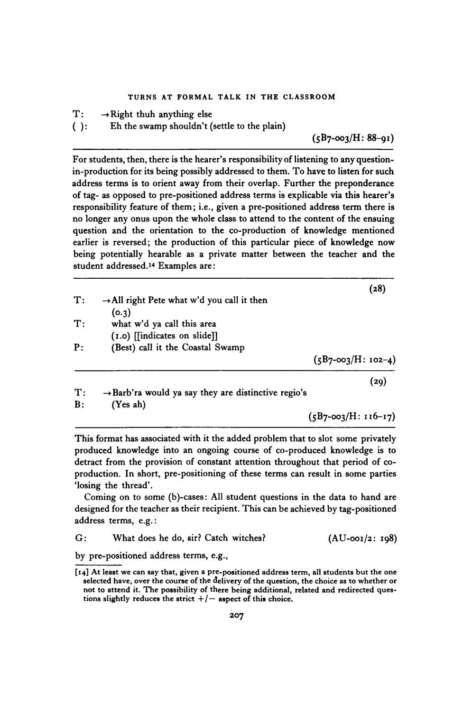- $T: \longrightarrow$  Right thuh anything else
- **( ): Eih the swamp shouldn't (settle to the plain)**

**(5B7-003/H: 88-9I)** 

**(28)** 

**For students, then, there is the hearer's responsibility of listening to any questionin-production for its being possibly addressed to them. To have to listen for such address terms is to orient away from their overlap. Further the preponderance of tag- as opposed to pre-positioned address terms is explicable via this hearer's responsibility feature of them; i.e., given a pre-positioned address term there is no longer any onus upon the whole class to attend to the content of the ensuing question and the orientation to the co-production of knowledge mentioned earlier is reversed; the production of this particular piece of knowledge now being potentially hearable as a private matter between the teacher and the student addressed.14 Examples are:** 

|                |                                                                 |                       | (28) |
|----------------|-----------------------------------------------------------------|-----------------------|------|
| $\mathbf{T}$ : | $\rightarrow$ All right Pete what w'd you call it then          |                       |      |
|                | (0.3)                                                           |                       |      |
| T:             | what w'd ya call this area                                      |                       |      |
|                | (1.0) [[indicates on slide]]                                    |                       |      |
| P:             | (Best) call it the Coastal Swamp                                |                       |      |
|                |                                                                 | $(5B7-003/H: 102-4)$  |      |
|                |                                                                 |                       | (29) |
| $\mathbf{T}$ : | $\rightarrow$ Barb'ra would ya say they are distinctive regio's |                       |      |
| $\mathbf{B}$ : | (Yesah)                                                         |                       |      |
|                |                                                                 | $(5B7-003/H: 116-17)$ |      |
|                |                                                                 |                       |      |

**This format has associated with it the added problem that to slot some privately produced knowledge into an ongoing course of co-produced knowledge is to detract from the provision of constant attention throughout that period of coproduction. In short, pre-positioning of these terms can result in some parties 'losing the thread'.** 

**Coming on to some (b)-cases: All student questions in the data to hand are designed for the teacher as their recipient. This can be achieved by tag-positioned address terms, e.g.:** 

| G: | What does he do, sir? Catch witches? | $(AU$ -001/2: 198) |
|----|--------------------------------------|--------------------|
|----|--------------------------------------|--------------------|

**by pre-positioned address terms, e.g.,** 

**<sup>[14]</sup> At least we can say that, given a pre-positioned address term, all students but the one selected have, over the course of the delivery of the question, the choice as to whether or not to attend it. The possibility of there being additional, related and redirected ques**tions slightly reduces the strict  $+/-$  aspect of this choice.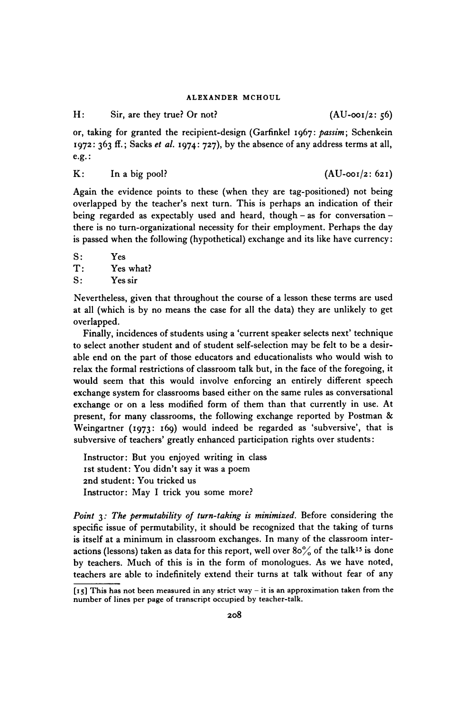**or, taking for granted the recipient-design (Garfinkel I967: passim; Schenkein I972: 363 ff.; Sacks et al. 1974: 727), by the absence of any address terms at all, e.g.:** 

**K:** In a big pool? (AU-oo $1/2$ :  $621$ )

**Again the evidence points to these (when they are tag-positioned) not being overlapped by the teacher's next turn. This is perhaps an indication of their being regarded as expectably used and heard, though - as for conversation there is no turn-organizational necessity for their employment. Perhaps the day is passed when the following (hypothetical) exchange and its like have currency:** 

**S: Yes T: Yes what? S: Yes sir** 

**Nevertheless, given that throughout the course of a lesson these terms are used at all (which is by no means the case for all the data) they are unlikely to get overlapped.** 

**Finally, incidences of students using a 'current speaker selects next' technique to select another student and of student self-selection may be felt to be a desirable end on the part of those educators and educationalists who would wish to relax the formal restrictions of classroom talk but, in the face of the foregoing, it would seem that this would involve enforcing an entirely different speech exchange system for classrooms based either on the same rules as conversational exchange or on a less modified form of them than that currently in use. At present, for many classrooms, the following exchange reported by Postman & Weingartner (1973: I69) would indeed be regarded as 'subversive', that is subversive of teachers' greatly enhanced participation rights over students:** 

**Instructor: But you enjoyed writing in class Ist student: You didn't say it was a poem 2nd student: You tricked us Instructor: May I trick you some more?** 

**Point 3: The permutability of turn-taking is minimized. Before considering the specific issue of permutability, it should be recognized that the taking of turns is itself at a minimum in classroom exchanges. In many of the classroom interactions (lessons) taken as data for this report, well over 80% of the talk<sup>15</sup> is done by teachers. Much of this is in the form of monologues. As we have noted, teachers are able to indefinitely extend their turns at talk without fear of any** 

**<sup>[15]</sup> This has not been measured in any strict way - it is an approximation taken from the number of lines per page of transcript occupied by teacher-talk.**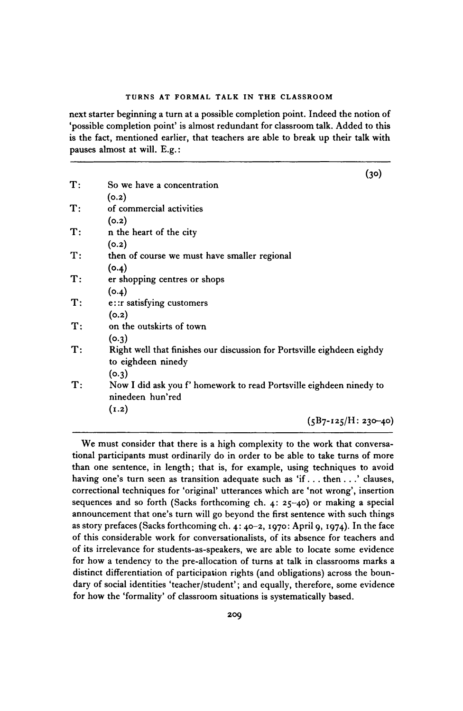**next starter beginning a turn at a possible completion point. Indeed the notion of 'possible completion point' is almost redundant for classroom talk. Added to this is the fact, mentioned earlier, that teachers are able to break up their talk with pauses almost at will. E.g.:** 

| $\mathbf{T}\colon$<br>So we have a concentration<br>(0.2)<br>$\mathbf{T}$ :<br>of commercial activities<br>(0.2)<br>$\overline{T}$ :<br>n the heart of the city<br>(0.2)<br>T:<br>then of course we must have smaller regional<br>(0.4)<br>T:<br>er shopping centres or shops<br>(0.4) | (30) |
|----------------------------------------------------------------------------------------------------------------------------------------------------------------------------------------------------------------------------------------------------------------------------------------|------|
|                                                                                                                                                                                                                                                                                        |      |
|                                                                                                                                                                                                                                                                                        |      |
|                                                                                                                                                                                                                                                                                        |      |
|                                                                                                                                                                                                                                                                                        |      |
|                                                                                                                                                                                                                                                                                        |      |
|                                                                                                                                                                                                                                                                                        |      |
|                                                                                                                                                                                                                                                                                        |      |
|                                                                                                                                                                                                                                                                                        |      |
|                                                                                                                                                                                                                                                                                        |      |
|                                                                                                                                                                                                                                                                                        |      |
| T:<br>e:: r satisfying customers                                                                                                                                                                                                                                                       |      |
| (0.2)                                                                                                                                                                                                                                                                                  |      |
| T:<br>on the outskirts of town                                                                                                                                                                                                                                                         |      |
| (0.3)                                                                                                                                                                                                                                                                                  |      |
| $\mathbf{T}$ :<br>Right well that finishes our discussion for Portsville eighdeen eighdy                                                                                                                                                                                               |      |
| to eighdeen ninedy                                                                                                                                                                                                                                                                     |      |
| (0.3)                                                                                                                                                                                                                                                                                  |      |
| $\mathbf{T}$ :<br>Now I did ask you f' homework to read Portsville eighdeen ninedy to                                                                                                                                                                                                  |      |
| ninedeen hun'red                                                                                                                                                                                                                                                                       |      |
| (1.2)                                                                                                                                                                                                                                                                                  |      |
| $(5B7 - 125)H: 230 - 40$                                                                                                                                                                                                                                                               |      |

**We must consider that there is a high complexity to the work that conversational participants must ordinarily do in order to be able to take turns of more than one sentence, in length; that is, for example, using techniques to avoid having one's turn seen as transition adequate such as 'if. . . then . . .' clauses, correctional techniques for 'original' utterances which are 'not wrong', insertion sequences and so forth (Sacks forthcoming ch. 4: 25-40) or making a special announcement that one's turn will go beyond the first sentence with such things as story prefaces (Sacks forthcoming ch. 4: 40-2, I970: April 9, 1974). In the face of this considerable work for conversationalists, of its absence for teachers and of its irrelevance for students-as-speakers, we are able to locate some evidence for how a tendency to the pre-allocation of turns at talk in classrooms marks a distinct differentiation of participation rights (and obligations) across the boundary of social identities 'teacher/student'; and equally, therefore, some evidence for how the 'formality' of classroom situations is systematically based.**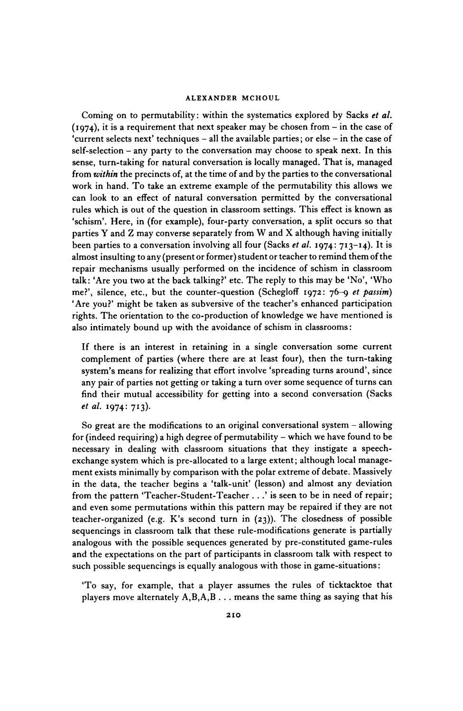**Coming on to permutability: within the systematics explored by Sacks et al. (1974), it is a requirement that next speaker may be chosen from - in the case of 'current selects next' techniques - all the available parties; or else - in the case of self-selection - any party to the conversation may choose to speak next. In this sense, turn-taking for natural conversation is locally managed. That is, managed from within the precincts of, at the time of and by the parties to the conversational work in hand. To take an extreme example of the permutability this allows we can look to an effect of natural conversation permitted by the conversational rules which is out of the question in classroom settings. This effect is known as 'schism'. Here, in (for example), four-party conversation, a split occurs so that parties Y and Z may converse separately from W and X although having initially been parties to a conversation involving all four (Sacks et al. 1974: 713-14). It is almost insulting to any (present or former) student or teacher to remind them of the repair mechanisms usually performed on the incidence of schism in classroom talk: 'Are you two at the back talking?' etc. The reply to this may be 'No', 'Who me?', silence, etc., but the counter-question (Schegloff I972: 76-9 et passim) 'Are you?' might be taken as subversive of the teacher's enhanced participation rights. The orientation to the co-production of knowledge we have mentioned is also intimately bound up with the avoidance of schism in classrooms:** 

**If there is an interest in retaining in a single conversation some current complement of parties (where there are at least four), then the turn-taking system's means for realizing that effort involve 'spreading turns around', since any pair of parties not getting or taking a turn over some sequence of turns can find their mutual accessibility for getting into a second conversation (Sacks et al. 1974: 7I3).** 

**So great are the modifications to an original conversational system - allowing for (indeed requiring) a high degree of permutability - which we have found to be necessary in dealing with classroom situations that they instigate a speechexchange system which is pre-allocated to a large extent; although local management exists minimally by comparison with the polar extreme of debate. Massively in the data, the teacher begins a 'talk-unit' (lesson) and almost any deviation from the pattern 'Teacher-Student-Teacher . . .' is seen to be in need of repair; and even some permutations within this pattern may be repaired if they are not teacher-organized (e.g. K's second turn in (23)). The closedness of possible sequencings in classroom talk that these rule-modifications generate is partially analogous with the possible sequences generated by pre-constituted game-rules and the expectations on the part of participants in classroom talk with respect to such possible sequencings is equally analogous with those in game-situations:** 

**'To say, for example, that a player assumes the rules of ticktacktoe that players move alternately A,B,A,B . . . means the same thing as saying that his**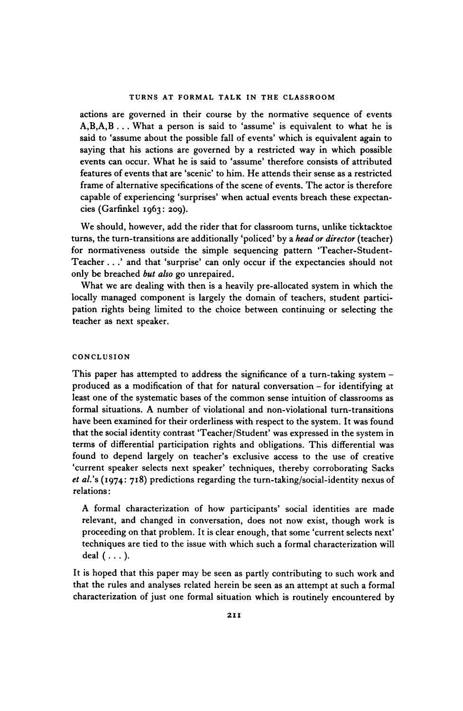**actions are governed in their course by the normative sequence of events A,B,A,B ... What a person is said to 'assume' is equivalent to what he is said to 'assume about the possible fall of events' which is equivalent again to saying that his actions are governed by a restricted way in which possible events can occur. What he is said to 'assume' therefore consists of attributed features of events that are 'scenic' to him. He attends their sense as a restricted frame of alternative specifications of the scene of events. The actor is therefore capable of experiencing 'surprises' when actual events breach these expectancies (Garfinkel I963: 209).** 

**We should, however, add the rider that for classroom turns, unlike ticktacktoe turns, the turn-transitions are additionally 'policed' by a head or director (teacher) for normativeness outside the simple sequencing pattern 'Teacher-Student-Teacher. . .' and that 'surprise' can only occur if the expectancies should not only be breached but also go unrepaired.** 

**What we are dealing with then is a heavily pre-allocated system in which the locally managed component is largely the domain of teachers, student participation rights being limited to the choice between continuing or selecting the teacher as next speaker.** 

#### **CONCLUSION**

**This paper has attempted to address the significance of a turn-taking system produced as a modification of that for natural conversation - for identifying at least one of the systematic bases of the common sense intuition of classrooms as formal situations. A number of violational and non-violational turn-transitions have been examined for their orderliness with respect to the system. It was found that the social identity contrast 'Teacher/Student' was expressed in the system in terms of differential participation rights and obligations. This differential was found to depend largely on teacher's exclusive access to the use of creative 'current speaker selects next speaker' techniques, thereby corroborating Sacks et al.'s (1974: 718) predictions regarding the turn-taking/social-identity nexus of relations:** 

**A formal characterization of how participants' social identities are made relevant, and changed in conversation, does not now exist, though work is proceeding on that problem. It is clear enough, that some 'current selects next' techniques are tied to the issue with which such a formal characterization will deal (... ).** 

**It is hoped that this paper may be seen as partly contributing to such work and that the rules and analyses related herein be seen as an attempt at such a formal characterization of just one formal situation which is routinely encountered by**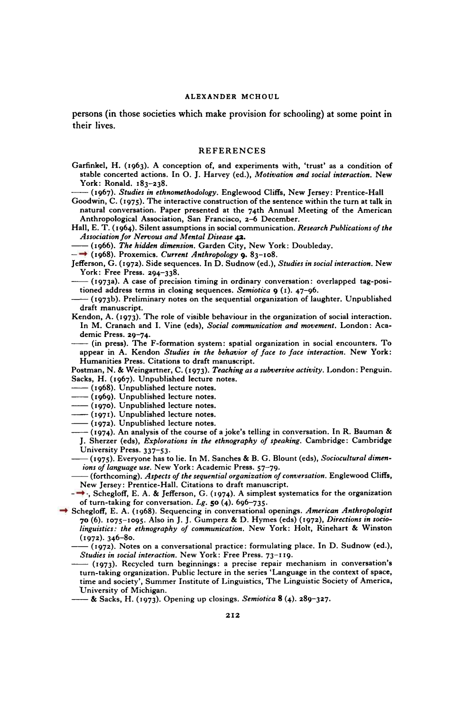**persons (in those societies which make provision for schooling) at some point in their lives.** 

#### **REFERENCES**

**Garfinkel, H. (I963). A conception of, and experiments with, 'trust' as a condition of stable concerted actions. In 0. J. Harvey (ed.), Motivation and social interaction. New York: Ronald. I83-238.** 

**- (I967). Studies in ethnomethodology. Englewood Cliffs, New Jersey: Prentice-Hall** 

- **Goodwin, C. (I975). The interactive construction of the sentence within the turn at talk in natural conversation. Paper presented at the 74th Annual Meeting of the American**  Anthropological Association, San Francisco, 2-6 December.
- **Hall, E. T. (i 964). Silent assumptions in social communication. Research Publications of the Association for Nervous and Mental Disease 42.**

**(I966). The hidden dimension. Garden City, New York: Doubleday.** 

**(I968). Proxemics. Current Anthropology 9. 83-Io8.** 

- **Jefferson, G. (I972). Side sequences. In D. Sudnow (ed.), Studies in social interaction. New York: Free Press. 294-338.**
- **(1973a). A case of precision timing in ordinary conversation: overlapped tag-positioned address terms in closing sequences. Semiotica 9 (I). 47-96.**
- **(I973b). Preliminary notes on the sequential organization of laughter. Unpublished draft manuscript.**
- **Kendon, A. (1973). The role of visible behaviour in the organization of social interaction. In M. Cranach and I. Vine (eds), Social communication and movement. London: Academic Press. 29-74.**
- **(in press). The F-formation system: spatial organization in social encounters. To appear in A. Kendon Studies in the behavior of face to face interaction. New York: Humanities Press. Citations to draft manuscript.**

**Postman, N. & Weingartner, C. (1973). Teaching as a subversive activity. London: Penguin. Sacks, H. (I967). Unpublished lecture notes.** 

- **( (1968). Unpublished lecture notes.**
- **(1969). Unpublished lecture notes.**
- **(1970). Unpublished lecture notes.**
- **(1971). Unpublished lecture notes.**
- **(1972). Unpublished lecture notes.**

**(1974). An analysis of the course of a joke's telling in conversation. In R. Bauman & J. Sherzer (eds), Explorations in the ethnography of speaking. Cambridge: Cambridge University Press. 337-53.** 

**(975). Everyone has to lie. In M. Sanches & B. G. Blount (eds), Sociocultural dimenions of language use. New York: Academic Press. 57-79.** 

**(forthcoming). Aspects of the sequential organization of conversation. Englewood Cliffs, New Jersey: Prentice-Hall. Citations to draft manuscript.** 

- **, Schegloff, E. A. & Jefferson, G. (I974). A simplest systematics for the organization of turn-taking for conversation. Lg. 50 (4). 696-735.**
- **Schegloff, E. A. (I968). Sequencing in conversational openings. American Anthropologist 70 (6). 1075-1095. Also in J. J. Gumperz & D. Hymes (eds) (1972), Directions in sociolinguistics: the ethnography of communication. New York: Holt, Rinehart & Winston (I972). 346-80.** 
	- **(1972). Notes on a conversational practice: formulating place. In D. Sudnow (ed.), Studies in social interaction. New York: Free Press. 73-1 19.**
	- **(1973). Recycled turn beginnings: a precise repair mechanism in conversation's turn-taking organization. Public lecture in the series 'Language in the context of space, time and society', Summer Institute of Linguistics, The Linguistic Society of America, 'University of Michigan.**
	- **& Sacks, H. (1973). Opening up closings. Semiotica 8 (4). 289-327.**